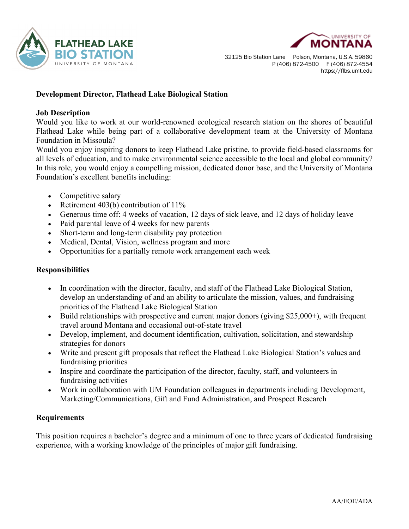



32125 Bio Station Lane Polson, Montana, U.S.A. 59860 P (406) 872-4500 F (406) 872-4554 https://flbs.umt.edu

## **Development Director, Flathead Lake Biological Station**

### **Job Description**

Would you like to work at our world-renowned ecological research station on the shores of beautiful Flathead Lake while being part of a collaborative development team at the University of Montana Foundation in Missoula?

Would you enjoy inspiring donors to keep Flathead Lake pristine, to provide field-based classrooms for all levels of education, and to make environmental science accessible to the local and global community? In this role, you would enjoy a compelling mission, dedicated donor base, and the University of Montana Foundation's excellent benefits including:

- Competitive salary
- Retirement 403(b) contribution of 11%
- Generous time off: 4 weeks of vacation, 12 days of sick leave, and 12 days of holiday leave
- Paid parental leave of 4 weeks for new parents
- Short-term and long-term disability pay protection
- Medical, Dental, Vision, wellness program and more
- Opportunities for a partially remote work arrangement each week

### **Responsibilities**

- In coordination with the director, faculty, and staff of the Flathead Lake Biological Station, develop an understanding of and an ability to articulate the mission, values, and fundraising priorities of the Flathead Lake Biological Station
- Build relationships with prospective and current major donors (giving \$25,000+), with frequent travel around Montana and occasional out-of-state travel
- Develop, implement, and document identification, cultivation, solicitation, and stewardship strategies for donors
- Write and present gift proposals that reflect the Flathead Lake Biological Station's values and fundraising priorities
- Inspire and coordinate the participation of the director, faculty, staff, and volunteers in fundraising activities
- Work in collaboration with UM Foundation colleagues in departments including Development, Marketing/Communications, Gift and Fund Administration, and Prospect Research

### **Requirements**

This position requires a bachelor's degree and a minimum of one to three years of dedicated fundraising experience, with a working knowledge of the principles of major gift fundraising.